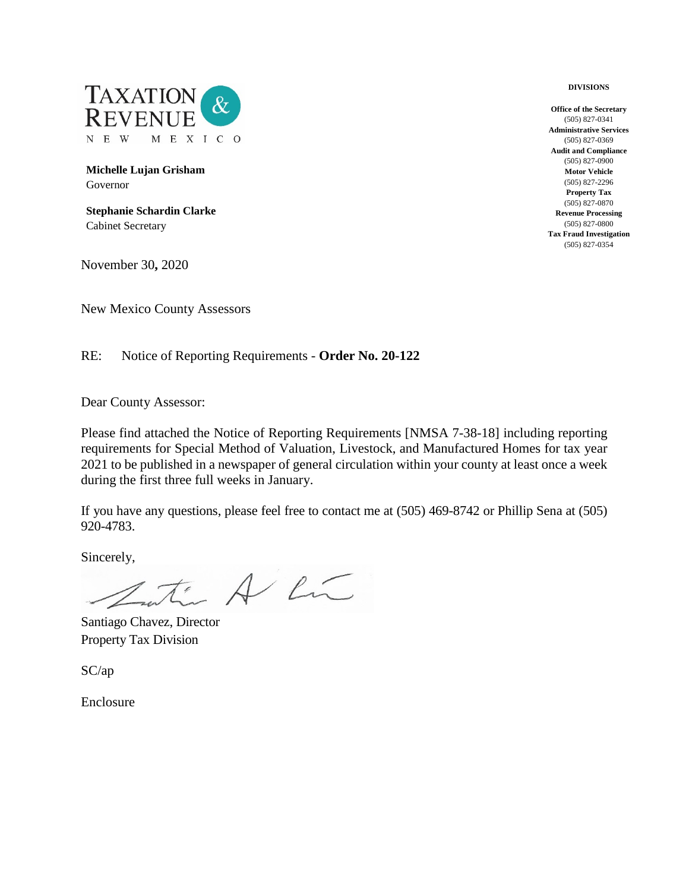

**Michelle Lujan Grisham** Governor

**Stephanie Schardin Clarke** Cabinet Secretary

November 30**,** 2020

New Mexico County Assessors

RE: Notice of Reporting Requirements - **Order No. 20-122**

Dear County Assessor:

Please find attached the Notice of Reporting Requirements [NMSA 7-38-18] including reporting requirements for Special Method of Valuation, Livestock, and Manufactured Homes for tax year 2021 to be published in a newspaper of general circulation within your county at least once a week during the first three full weeks in January.

If you have any questions, please feel free to contact me at (505) 469-8742 or Phillip Sena at (505) 920-4783.

Sincerely,

- A Lú

Santiago Chavez, Director Property Tax Division

SC/ap

Enclosure

**Office of the Secretary** (505) 827-0341 **Administrative Services** (505) 827-0369 **Audit and Compliance** (505) 827-0900 **Motor Vehicle** (505) 827-2296 **Property Tax** (505) 827-0870 **Revenue Processing** (505) 827-0800 **Tax Fraud Investigation** (505) 827-0354

**DIVISIONS**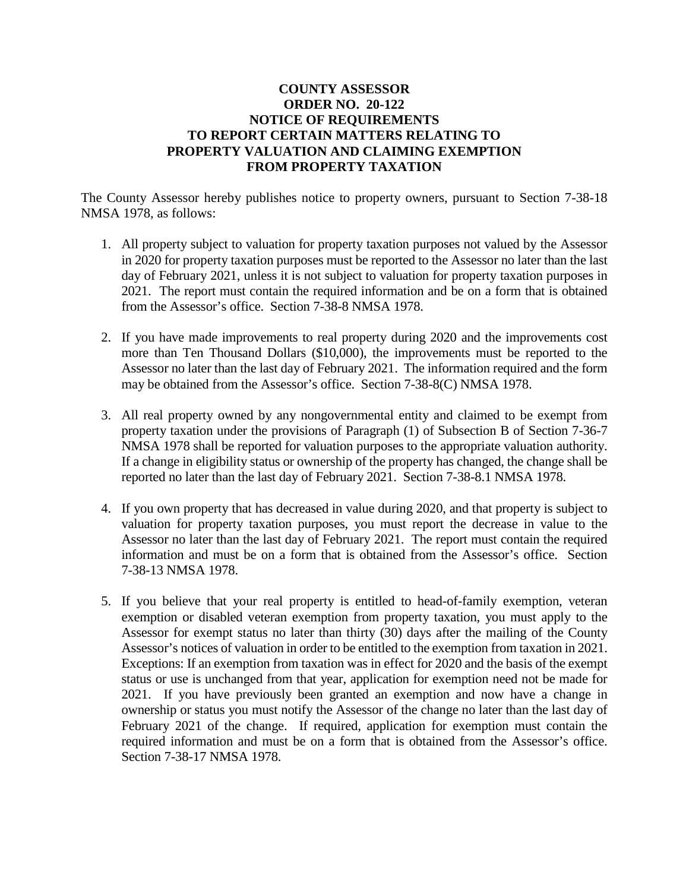## **COUNTY ASSESSOR ORDER NO. 20-122 NOTICE OF REQUIREMENTS TO REPORT CERTAIN MATTERS RELATING TO PROPERTY VALUATION AND CLAIMING EXEMPTION FROM PROPERTY TAXATION**

The County Assessor hereby publishes notice to property owners, pursuant to Section 7-38-18 NMSA 1978, as follows:

- 1. All property subject to valuation for property taxation purposes not valued by the Assessor in 2020 for property taxation purposes must be reported to the Assessor no later than the last day of February 2021, unless it is not subject to valuation for property taxation purposes in 2021. The report must contain the required information and be on a form that is obtained from the Assessor's office. Section 7-38-8 NMSA 1978.
- 2. If you have made improvements to real property during 2020 and the improvements cost more than Ten Thousand Dollars (\$10,000), the improvements must be reported to the Assessor no later than the last day of February 2021. The information required and the form may be obtained from the Assessor's office. Section 7-38-8(C) NMSA 1978.
- 3. All real property owned by any nongovernmental entity and claimed to be exempt from property taxation under the provisions of Paragraph (1) of Subsection B of Section 7-36-7 NMSA 1978 shall be reported for valuation purposes to the appropriate valuation authority. If a change in eligibility status or ownership of the property has changed, the change shall be reported no later than the last day of February 2021. Section 7-38-8.1 NMSA 1978.
- 4. If you own property that has decreased in value during 2020, and that property is subject to valuation for property taxation purposes, you must report the decrease in value to the Assessor no later than the last day of February 2021. The report must contain the required information and must be on a form that is obtained from the Assessor's office. Section 7-38-13 NMSA 1978.
- 5. If you believe that your real property is entitled to head-of-family exemption, veteran exemption or disabled veteran exemption from property taxation, you must apply to the Assessor for exempt status no later than thirty (30) days after the mailing of the County Assessor's notices of valuation in order to be entitled to the exemption from taxation in 2021. Exceptions: If an exemption from taxation was in effect for 2020 and the basis of the exempt status or use is unchanged from that year, application for exemption need not be made for 2021. If you have previously been granted an exemption and now have a change in ownership or status you must notify the Assessor of the change no later than the last day of February 2021 of the change. If required, application for exemption must contain the required information and must be on a form that is obtained from the Assessor's office. Section 7-38-17 NMSA 1978.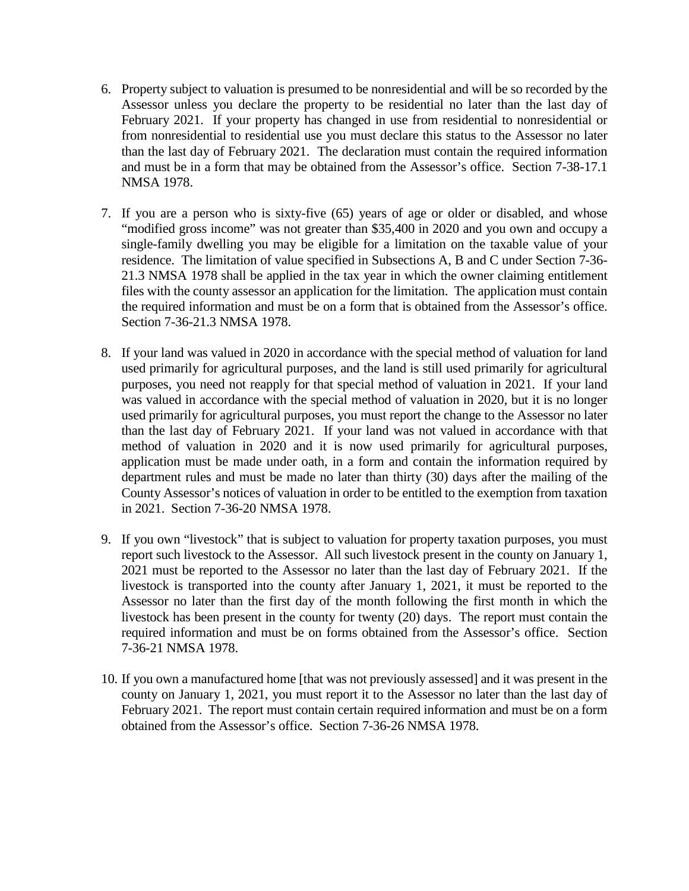- 6. Property subject to valuation is presumed to be nonresidential and will be so recorded by the Assessor unless you declare the property to be residential no later than the last day of February 2021. If your property has changed in use from residential to nonresidential or from nonresidential to residential use you must declare this status to the Assessor no later than the last day of February 2021. The declaration must contain the required information and must be in a form that may be obtained from the Assessor's office. Section 7-38-17.1 NMSA 1978.
- 7. If you are a person who is sixty-five (65) years of age or older or disabled, and whose "modified gross income" was not greater than \$35,400 in 2020 and you own and occupy a single-family dwelling you may be eligible for a limitation on the taxable value of your residence. The limitation of value specified in Subsections A, B and C under Section 7-36- 21.3 NMSA 1978 shall be applied in the tax year in which the owner claiming entitlement files with the county assessor an application for the limitation. The application must contain the required information and must be on a form that is obtained from the Assessor's office. Section 7-36-21.3 NMSA 1978.
- 8. If your land was valued in 2020 in accordance with the special method of valuation for land used primarily for agricultural purposes, and the land is still used primarily for agricultural purposes, you need not reapply for that special method of valuation in 2021. If your land was valued in accordance with the special method of valuation in 2020, but it is no longer used primarily for agricultural purposes, you must report the change to the Assessor no later than the last day of February 2021. If your land was not valued in accordance with that method of valuation in 2020 and it is now used primarily for agricultural purposes, application must be made under oath, in a form and contain the information required by department rules and must be made no later than thirty (30) days after the mailing of the County Assessor's notices of valuation in order to be entitled to the exemption from taxation in 2021. Section 7-36-20 NMSA 1978.
- 9. If you own "livestock" that is subject to valuation for property taxation purposes, you must report such livestock to the Assessor. All such livestock present in the county on January 1, 2021 must be reported to the Assessor no later than the last day of February 2021. If the livestock is transported into the county after January 1, 2021, it must be reported to the Assessor no later than the first day of the month following the first month in which the livestock has been present in the county for twenty (20) days. The report must contain the required information and must be on forms obtained from the Assessor's office. Section 7-36-21 NMSA 1978.
- 10. If you own a manufactured home [that was not previously assessed] and it was present in the county on January 1, 2021, you must report it to the Assessor no later than the last day of February 2021. The report must contain certain required information and must be on a form obtained from the Assessor's office. Section 7-36-26 NMSA 1978.